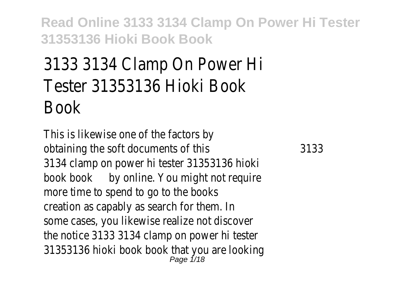# 3133 3134 Clamp On Power Hi Tester 31353136 Hioki Book Book

This is likewise one of the factors by obtaining the soft documents of this 3133 3134 clamp on power hi tester 31353136 hioki book book by online. You might not require more time to spend to go to the books creation as capably as search for them. In some cases, you likewise realize not discover the notice 3133 3134 clamp on power hi tester 31353136 hioki book book that you are looking Page  $1/18$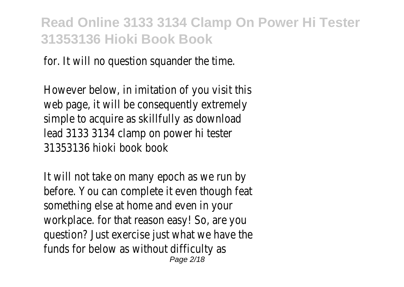for. It will no question squander the time.

However below, in imitation of you visit this web page, it will be consequently extremely simple to acquire as skillfully as download lead 3133 3134 clamp on power hi tester 31353136 hioki book book

It will not take on many epoch as we run by before. You can complete it even though feat something else at home and even in your workplace. for that reason easy! So, are you question? Just exercise just what we have the funds for below as without difficulty as Page 2/18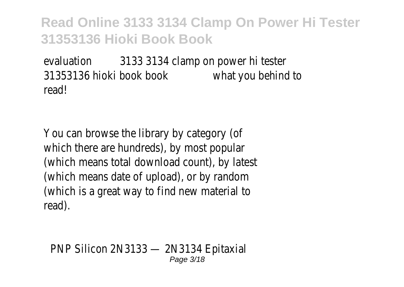evaluation 3133 3134 clamp on power hi tester 31353136 hioki book book what you behind to read!

You can browse the library by category (of which there are hundreds), by most popular (which means total download count), by latest (which means date of upload), or by random (which is a great way to find new material to read).

PNP Silicon 2N3133 — 2N3134 Epitaxial Page 3/18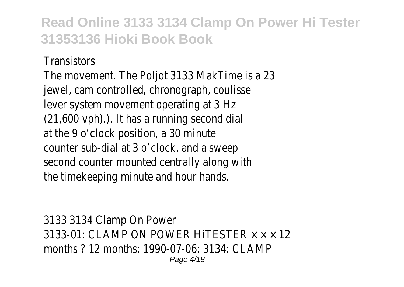#### **Transistors**

The movement. The Poljot 3133 MakTime is a 23 jewel, cam controlled, chronograph, coulisse lever system movement operating at 3 Hz (21,600 vph).). It has a running second dial at the 9 o'clock position, a 30 minute counter sub-dial at 3 o'clock, and a sweep second counter mounted centrally along with the timekeeping minute and hour hands.

3133 3134 Clamp On Power 3133-01: CLAMP ON POWER HITESTER  $\times \times \times 12$ months ? 12 months: 1990-07-06: 3134: CLAMP Page 4/18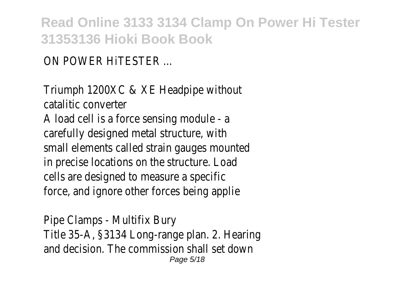ON POWER HiTESTER ...

Triumph 1200XC & XE Headpipe without catalitic converter A load cell is a force sensing module - a carefully designed metal structure, with small elements called strain gauges mounted in precise locations on the structure. Load cells are designed to measure a specific force, and ignore other forces being applie

Pipe Clamps - Multifix Bury Title 35-A, §3134 Long-range plan. 2. Hearing and decision. The commission shall set down Page 5/18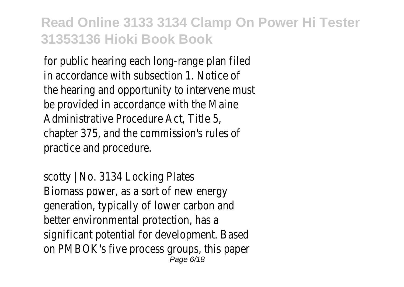for public hearing each long-range plan filed in accordance with subsection 1. Notice of the hearing and opportunity to intervene must be provided in accordance with the Maine Administrative Procedure Act, Title 5, chapter 375, and the commission's rules of practice and procedure.

scotty | No. 3134 Locking Plates Biomass power, as a sort of new energy generation, typically of lower carbon and better environmental protection, has a significant potential for development. Based on PMBOK's five process groups, this paper Page 6/18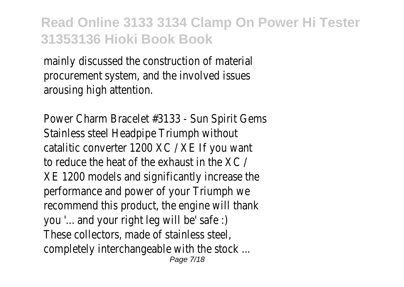mainly discussed the construction of material procurement system, and the involved issues arousing high attention.

Power Charm Bracelet #3133 - Sun Spirit Gems Stainless steel Headpipe Triumph without catalitic converter 1200 XC / XE If you want to reduce the heat of the exhaust in the XC / XE 1200 models and significantly increase the performance and power of your Triumph we recommend this product, the engine will thank you '... and your right leg will be' safe :) These collectors, made of stainless steel, completely interchangeable with the stock ... Page 7/18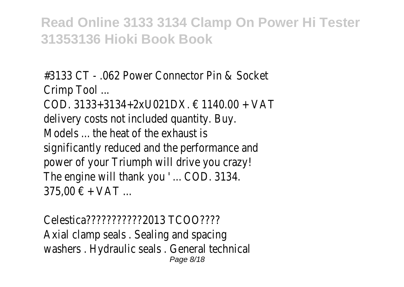#3133 CT - .062 Power Connector Pin & Socket Crimp Tool ...

COD. 3133+3134+2xU021DX. € 1140.00 + VAT delivery costs not included quantity. Buy. Models ... the heat of the exhaust is significantly reduced and the performance and power of your Triumph will drive you crazy! The engine will thank you ' ... COD. 3134. 375,00 € + VAT ...

Celestica???????????2013 TCOO???? Axial clamp seals . Sealing and spacing washers . Hydraulic seals . General technical Page 8/18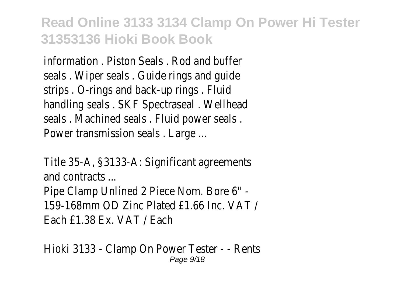information . Piston Seals . Rod and buffer seals . Wiper seals . Guide rings and guide strips . O-rings and back-up rings . Fluid handling seals . SKF Spectraseal . Wellhead seals . Machined seals . Fluid power seals . Power transmission seals . Large ...

Title 35-A, §3133-A: Significant agreements and contracts ...

Pipe Clamp Unlined 2 Piece Nom. Bore 6" - 159-168mm OD Zinc Plated £1.66 Inc. VAT / Each £1.38 Ex. VAT / Each

Hioki 3133 - Clamp On Power Tester - - Rents Page  $9/18$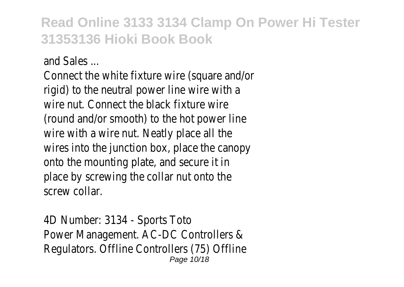and Sales ...

Connect the white fixture wire (square and/or rigid) to the neutral power line wire with a wire nut. Connect the black fixture wire (round and/or smooth) to the hot power line wire with a wire nut. Neatly place all the wires into the junction box, place the canopy onto the mounting plate, and secure it in place by screwing the collar nut onto the screw collar.

4D Number: 3134 - Sports Toto Power Management. AC-DC Controllers & Regulators. Offline Controllers (75) Offline Page 10/18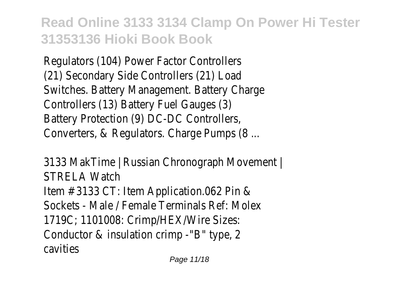Regulators (104) Power Factor Controllers (21) Secondary Side Controllers (21) Load Switches. Battery Management. Battery Charge Controllers (13) Battery Fuel Gauges (3) Battery Protection (9) DC-DC Controllers, Converters, & Regulators. Charge Pumps (8 ...

3133 MakTime | Russian Chronograph Movement | STRELA Watch Item # 3133 CT: Item Application.062 Pin & Sockets - Male / Female Terminals Ref: Molex 1719C; 1101008: Crimp/HEX/Wire Sizes: Conductor & insulation crimp -"B" type, 2 cavities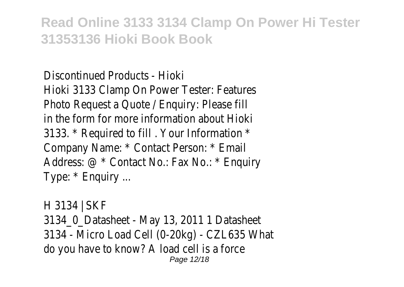Discontinued Products - Hioki Hioki 3133 Clamp On Power Tester: Features Photo Request a Quote / Enquiry: Please fill in the form for more information about Hioki 3133. \* Required to fill . Your Information \* Company Name: \* Contact Person: \* Email Address: @ \* Contact No.: Fax No.: \* Enquiry Type: \* Enquiry ...

H 3134 | SKF 3134\_0\_Datasheet - May 13, 2011 1 Datasheet 3134 - Micro Load Cell (0-20kg) - CZL635 What do you have to know? A load cell is a force Page 12/18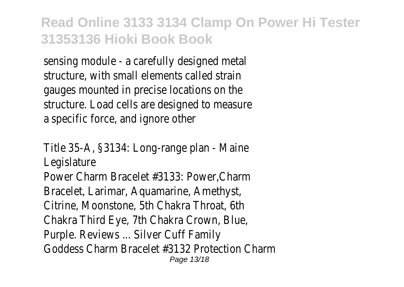sensing module - a carefully designed metal structure, with small elements called strain gauges mounted in precise locations on the structure. Load cells are designed to measure a specific force, and ignore other

Title 35-A, §3134: Long-range plan - Maine Legislature Power Charm Bracelet #3133: Power,Charm Bracelet, Larimar, Aquamarine, Amethyst, Citrine, Moonstone, 5th Chakra Throat, 6th Chakra Third Eye, 7th Chakra Crown, Blue, Purple. Reviews ... Silver Cuff Family Goddess Charm Bracelet #3132 Protection Charm Page 13/18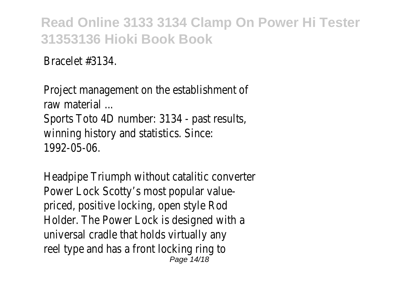Bracelet #3134.

Project management on the establishment of raw material ... Sports Toto 4D number: 3134 - past results, winning history and statistics. Since: 1992-05-06.

Headpipe Triumph without catalitic converter Power Lock Scotty's most popular valuepriced, positive locking, open style Rod Holder. The Power Lock is designed with a universal cradle that holds virtually any reel type and has a front locking ring to Page 14/18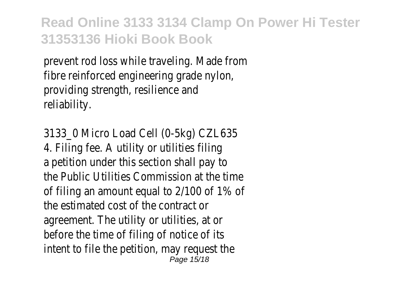prevent rod loss while traveling. Made from fibre reinforced engineering grade nylon, providing strength, resilience and reliability.

3133\_0 Micro Load Cell (0-5kg) CZL635 4. Filing fee. A utility or utilities filing a petition under this section shall pay to the Public Utilities Commission at the time of filing an amount equal to 2/100 of 1% of the estimated cost of the contract or agreement. The utility or utilities, at or before the time of filing of notice of its intent to file the petition, may request the Page 15/18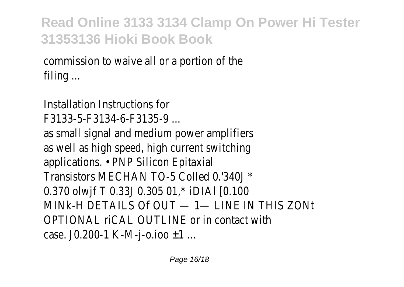commission to waive all or a portion of the filing ...

Installation Instructions for F3133-5-F3134-6-F3135-9 ...

as small signal and medium power amplifiers as well as high speed, high current switching applications. • PNP Silicon Epitaxial Transistors MECHAN TO-5 Colled 0.'340J \* 0.370 olwjf T 0.33J 0.305 01,\* iDIAl [0.100 MINk-H DETAILS Of OUT — 1— LINE IN THIS ZONt OPTIONAL riCAL OUTLINE or in contact with case. J0.200-1 K-M-j-o.ioo  $\pm 1$  ...